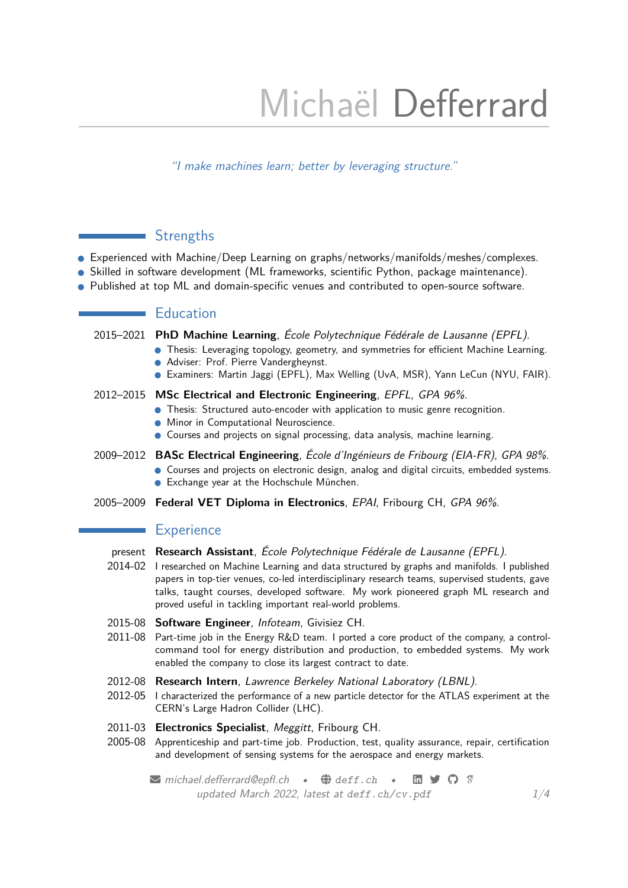# Michaël Defferrard

"I make machines learn; better by leveraging structure."

# **Strengths**

- Experienced with Machine/Deep Learning on graphs/networks/manifolds/meshes/complexes.
- Skilled in software development (ML frameworks, scientific Python, package maintenance).
- Published at top ML and domain-specific venues and contributed to open-source software.

# **Education**

- 2015–2021 **PhD Machine Learning**, [École Polytechnique Fédérale de Lausanne \(EPFL\)](https://www.epfl.ch).
	- Thesis: Leveraging topology, geometry, and symmetries for efficient Machine Learning.
	- Adviser: Prof. [Pierre Vandergheynst.](https://people.epfl.ch/pierre.vandergheynst)
	- Examiners: [Martin Jaggi](https://people.epfl.ch/martin.jaggi) (EPFL), [Max Welling](https://staff.fnwi.uva.nl/m.welling) (UvA, MSR), [Yann LeCun](http://yann.lecun.com) (NYU, FAIR).

#### 2012–2015 **MSc Electrical and Electronic Engineering**, [EPFL](https://www.epfl.ch), GPA 96%.

- Thesis: [Structured auto-encoder with application to music genre recognition.](https://infoscience.epfl.ch/record/218019)
- Minor in Computational Neuroscience.
- Courses and projects on signal processing, data analysis, machine learning.
- 2009–2012 **BASc Electrical Engineering**, [École d'Ingénieurs de Fribourg \(EIA-FR\)](https://www.heia-fr.ch), GPA 98%. ● Courses and projects on electronic design, analog and digital circuits, embedded systems.
	- Exchange year at the [Hochschule München.](https://hm.edu)
- 2005–2009 **Federal VET Diploma in Electronics**, [EPAI](https://www.fr.ch/epai), Fribourg CH, GPA 96%.

## **Experience**

- present **Research Assistant**, [École Polytechnique Fédérale de Lausanne \(EPFL\)](https://www.epfl.ch).
- 2014-02 I researched on Machine Learning and data structured by graphs and manifolds. I published papers in top-tier venues, co-led interdisciplinary research teams, supervised students, gave talks, taught courses, developed software. My work pioneered graph ML research and proved useful in tackling important real-world problems.
- 2015-08 **Software Engineer**, [Infoteam](https://infoteam.ch), Givisiez CH.
- 2011-08 Part-time job in the Energy R&D team. I ported a core product of the company, a controlcommand tool for energy distribution and production, to embedded systems. My work enabled the company to close its largest contract to date.
- 2012-08 **Research Intern**, [Lawrence Berkeley National Laboratory \(LBNL\)](https://www.lbl.gov).
- 2012-05 I characterized the performance of a new particle detector for the ATLAS experiment at the CERN's Large Hadron Collider (LHC).
- 2011-03 **Electronics Specialist**, [Meggitt](https://www.meggitt.com), Fribourg CH.
- 2005-08 Apprenticeship and part-time job. Production, test, quality assurance, repair, certification and development of sensing systems for the aerospace and energy markets.

Michael.defferrard@epfl.ch •  $\bigoplus$  [deff.ch](https://deff.ch) •  $\blacksquare$   $\bigodot$   $\heartsuit$ updated March 2022, latest at [deff.ch/cv.pdf](https://deff.ch/cv.pdf)  $1/4$  $1/4$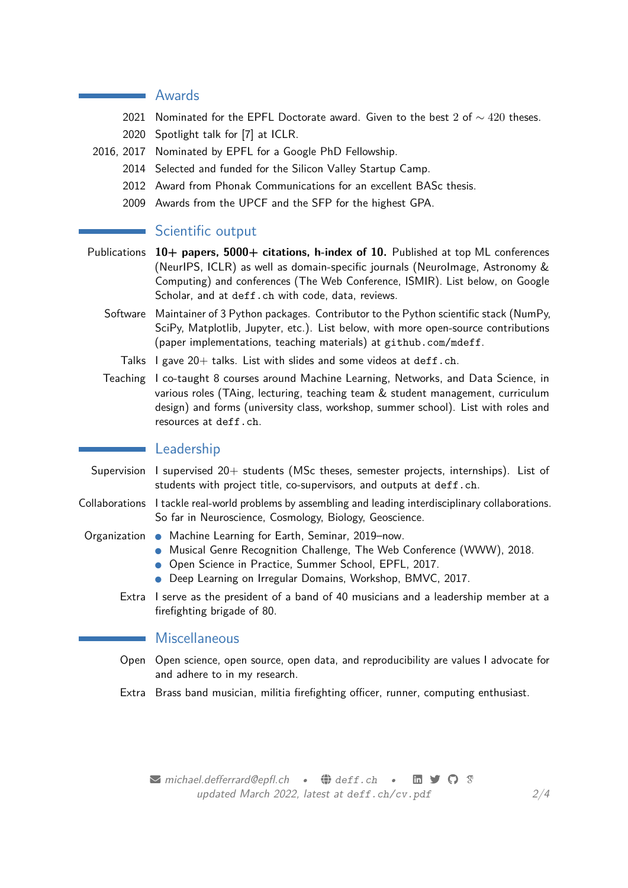### **Awards**

- 2021 Nominated for the [EPFL Doctorate award.](https://www.epfl.ch/education/phd/phd-awards/) Given to the best 2 of  $\sim$  420 theses.
- 2020 Spotlight talk for [\[7\]](#page-2-0) at [ICLR.](https://iclr.cc)
- 2016, 2017 Nominated by EPFL fora [Google PhD Fellowship.](https://research.google/outreach/phd-fellowship)
	- 2014 Selected and funded for the [Silicon Valley Startup Camp.](https://www.bcv.ch/La-BCV/Responsabilite-d-entreprise/RSE/Silicon-Valley-Startup-Camp)
	- 2012 Award from [Phonak Communications](https://www.phonak-communications.com) for an excellent BASc thesis.
	- 2009 Awards from the [UPCF](https://www.upcf.ch) and the [SFP](https://www.fr.ch/dee/sfp) for the highest GPA.

### Scientific output

- Publications **10+ papers, 5000+ citations, h-index of 10.** Published at top ML conferences (NeurIPS, ICLR) as well as domain-specific journals (NeuroImage, Astronomy & Computing) and conferences (The Web Conference, ISMIR). List below, on [Google](https://scholar.google.com/citations?user=Ztj2-gUAAAAJ) [Scholar,](https://scholar.google.com/citations?user=Ztj2-gUAAAAJ) and at [deff.ch](https://deff.ch) with code, data, reviews.
	- Software Maintainer of 3 Python packages. Contributor to the Python scientific stack (NumPy, SciPy, Matplotlib, Jupyter, etc.). List below, with more open-source contributions (paper implementations, teaching materials) at [github.com/mdeff](https://github.com/mdeff).
		- Talks  $\,$  I gave 20 + talks. List with slides and some videos at [deff.ch](https://deff.ch).
	- Teaching I co-taught 8 courses around Machine Learning, Networks, and Data Science, in various roles (TAing, lecturing, teaching team & student management, curriculum design) and forms (university class, workshop, summer school). List with roles and resources at [deff.ch](https://deff.ch).

#### **Leadership**

- Supervision I supervised 20+ students (MSc theses, semester projects, internships). List of students with project title, co-supervisors, and outputs at [deff.ch](https://deff.ch).
- Collaborations I tackle real-world problems by assembling and leading interdisciplinary collaborations. So far in Neuroscience, Cosmology, Biology, Geoscience.

- Organization [Machine Learning for Earth,](https://www.ml4earth.org) Seminar, 2019-now.
	- [Musical Genre Recognition Challenge,](https://www.crowdai.org/challenges/www-2018-challenge-learning-to-recognize-musical-genre) The Web Conference (WWW), 2018.
	- [Open Science in Practice,](https://osip2017.epfl.ch) Summer School, EPFL, 2017.
	- [Deep Learning on Irregular Domains,](https://bmvc2017.london/dlid) Workshop, BMVC, 2017.
	- Extra I serve as the president ofa [band of 40 musicians](https://fanfare-orsonnens.ch) and a leadership member at a [firefighting brigade of 80.](https://villorsonnens.ch/service-technique/service-du-feu)

### ■ Miscellaneous

- Open Open science, open source, open data, and reproducibility are values I advocate for and adhere to in my research.
- Extra Brass band musician, militia firefighting officer, runner, computing enthusiast.

 $\blacktriangleright$  [michael.defferrard@epfl.ch](mailto:michael.defferrard@epfl.ch) •  $\bigoplus$  [deff.ch](https://deff.ch) •  $\blacksquare$   $\blacktriangleright$   $\bigodot$   $\heartsuit$ updated March 2022, latest at [deff.ch/cv.pdf](https://deff.ch/cv.pdf)  $2/4$  $2/4$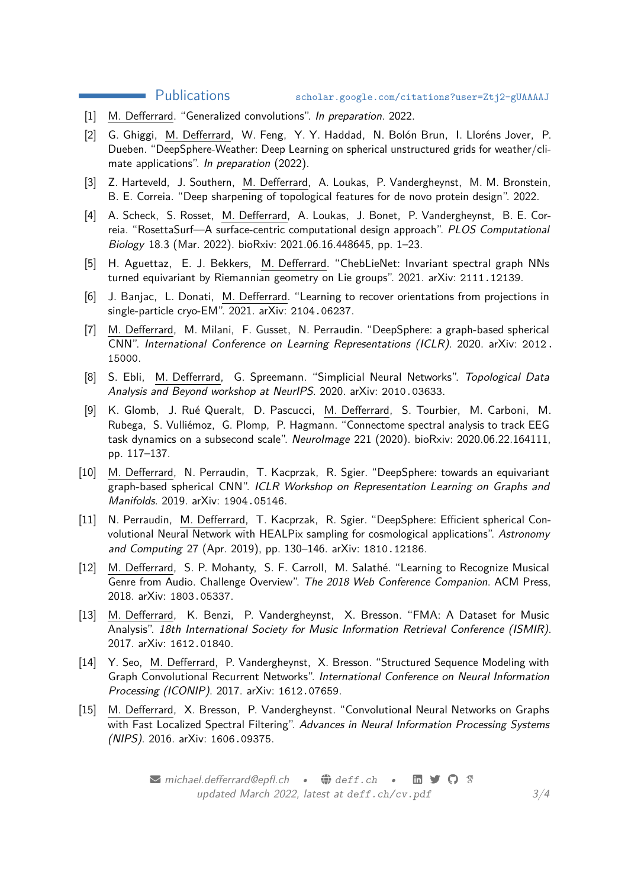#### Publications [scholar.google.com/citations?user=Ztj2-gUAAAAJ](https://scholar.google.com/citations?user=Ztj2-gUAAAAJ)

- [1] M. Defferrard. "Generalized convolutions". In preparation. 2022.
- [2] G. Ghiggi, M. Defferrard, W. Feng, Y. Y. Haddad, N. Bolón Brun, I. Lloréns Jover, P. Dueben. "DeepSphere-Weather: Deep Learning on spherical unstructured grids for weather/climate applications". In preparation (2022).
- [3] Z. Harteveld, J. Southern, M. Defferrard, A. Loukas, P. Vandergheynst, M. M. Bronstein, B. E. Correia. "Deep sharpening of topological features for de novo protein design". 2022.
- [4] A. Scheck, S. Rosset, M. Defferrard, A. Loukas, J. Bonet, P. Vandergheynst, B. E. Correia. "RosettaSurf—A surface-centric computational design approach". PLOS Computational Biology 18.3 (Mar. 2022). bioRxiv: 2021.06.16.448645, pp. 1–23.
- [5] H. Aguettaz, E. J. Bekkers, M. Defferrard. "ChebLieNet: Invariant spectral graph NNs turned equivariant by Riemannian geometry on Lie groups". 2021. arXiv: [2111.12139](https://arxiv.org/abs/2111.12139).
- [6] J. Banjac, L. Donati, M. Defferrard. "Learning to recover orientations from projections in single-particle cryo-EM". 2021. arXiv: [2104.06237](https://arxiv.org/abs/2104.06237).
- <span id="page-2-0"></span>[7] M. Defferrard, M. Milani, F. Gusset, N. Perraudin. "DeepSphere: a graph-based spherical CNN". International Conference on Learning Representations (ICLR). 2020. arXiv: [2012.](https://arxiv.org/abs/2012.15000) [15000](https://arxiv.org/abs/2012.15000).
- [8] S. Ebli, M. Defferrard, G. Spreemann. "Simplicial Neural Networks". Topological Data Analysis and Beyond workshop at NeurIPS. 2020. arXiv: [2010.03633](https://arxiv.org/abs/2010.03633).
- [9] K. Glomb, J. Rué Queralt, D. Pascucci, M. Defferrard, S. Tourbier, M. Carboni, M. Rubega, S. Vulliémoz, G. Plomp, P. Hagmann. "Connectome spectral analysis to track EEG task dynamics on a subsecond scale". NeuroImage 221 (2020). bioRxiv: 2020.06.22.164111, pp. 117–137.
- [10] M. Defferrard, N. Perraudin, T. Kacprzak, R. Sgier. "DeepSphere: towards an equivariant graph-based spherical CNN". ICLR Workshop on Representation Learning on Graphs and Manifolds. 2019. arXiv: [1904.05146](https://arxiv.org/abs/1904.05146).
- [11] N. Perraudin, M. Defferrard, T. Kacprzak, R. Sgier. "DeepSphere: Efficient spherical Convolutional Neural Network with HEALPix sampling for cosmological applications". Astronomy and Computing 27 (Apr. 2019), pp. 130–146. arXiv: [1810.12186](https://arxiv.org/abs/1810.12186).
- [12] M. Defferrard, S. P. Mohanty, S. F. Carroll, M. Salathé. "Learning to Recognize Musical Genre from Audio. Challenge Overview". The 2018 Web Conference Companion. ACM Press, 2018. arXiv: [1803.05337](https://arxiv.org/abs/1803.05337).
- [13] M. Defferrard, K. Benzi, P. Vandergheynst, X. Bresson. "FMA: A Dataset for Music Analysis". 18th International Society for Music Information Retrieval Conference (ISMIR). 2017. arXiv: [1612.01840](https://arxiv.org/abs/1612.01840).
- [14] Y. Seo, M. Defferrard, P. Vandergheynst, X. Bresson. "Structured Sequence Modeling with Graph Convolutional Recurrent Networks". International Conference on Neural Information Processing (ICONIP). 2017. arXiv: [1612.07659](https://arxiv.org/abs/1612.07659).
- [15] M. Defferrard, X. Bresson, P. Vandergheynst. "Convolutional Neural Networks on Graphs with Fast Localized Spectral Filtering". Advances in Neural Information Processing Systems (NIPS). 2016. arXiv: [1606.09375](https://arxiv.org/abs/1606.09375).

 $\blacktriangleright$  [michael.defferrard@epfl.ch](mailto:michael.defferrard@epfl.ch) •  $\bigoplus$  [deff.ch](https://deff.ch) •  $\boxplus$   $\blacktriangleright$   $\heartsuit$   $\heartsuit$ updated March 2022, latest at [deff.ch/cv.pdf](https://deff.ch/cv.pdf)  $3/4$  $3/4$